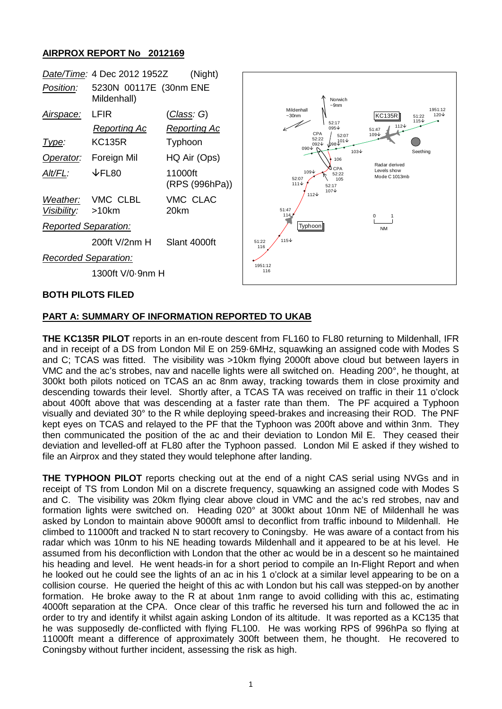## **AIRPROX REPORT No 2012169**



#### **BOTH PILOTS FILED**

### **PART A: SUMMARY OF INFORMATION REPORTED TO UKAB**

**THE KC135R PILOT** reports in an en-route descent from FL160 to FL80 returning to Mildenhall, IFR and in receipt of a DS from London Mil E on 259·6MHz, squawking an assigned code with Modes S and C; TCAS was fitted. The visibility was >10km flying 2000ft above cloud but between layers in VMC and the ac's strobes, nav and nacelle lights were all switched on. Heading 200°, he thought, at 300kt both pilots noticed on TCAS an ac 8nm away, tracking towards them in close proximity and descending towards their level. Shortly after, a TCAS TA was received on traffic in their 11 o'clock about 400ft above that was descending at a faster rate than them. The PF acquired a Typhoon visually and deviated 30° to the R while deploying speed-brakes and increasing their ROD. The PNF kept eyes on TCAS and relayed to the PF that the Typhoon was 200ft above and within 3nm. They then communicated the position of the ac and their deviation to London Mil E. They ceased their deviation and levelled-off at FL80 after the Typhoon passed. London Mil E asked if they wished to file an Airprox and they stated they would telephone after landing.

**THE TYPHOON PILOT** reports checking out at the end of a night CAS serial using NVGs and in receipt of TS from London Mil on a discrete frequency, squawking an assigned code with Modes S and C. The visibility was 20km flying clear above cloud in VMC and the ac's red strobes, nav and formation lights were switched on. Heading 020° at 300kt about 10nm NE of Mildenhall he was asked by London to maintain above 9000ft amsl to deconflict from traffic inbound to Mildenhall. He climbed to 11000ft and tracked N to start recovery to Coningsby. He was aware of a contact from his radar which was 10nm to his NE heading towards Mildenhall and it appeared to be at his level. He assumed from his deconfliction with London that the other ac would be in a descent so he maintained his heading and level. He went heads-in for a short period to compile an In-Flight Report and when he looked out he could see the lights of an ac in his 1 o'clock at a similar level appearing to be on a collision course. He queried the height of this ac with London but his call was stepped-on by another formation. He broke away to the R at about 1nm range to avoid colliding with this ac, estimating 4000ft separation at the CPA. Once clear of this traffic he reversed his turn and followed the ac in order to try and identify it whilst again asking London of its altitude. It was reported as a KC135 that he was supposedly de-conflicted with flying FL100. He was working RPS of 996hPa so flying at 11000ft meant a difference of approximately 300ft between them, he thought. He recovered to Coningsby without further incident, assessing the risk as high.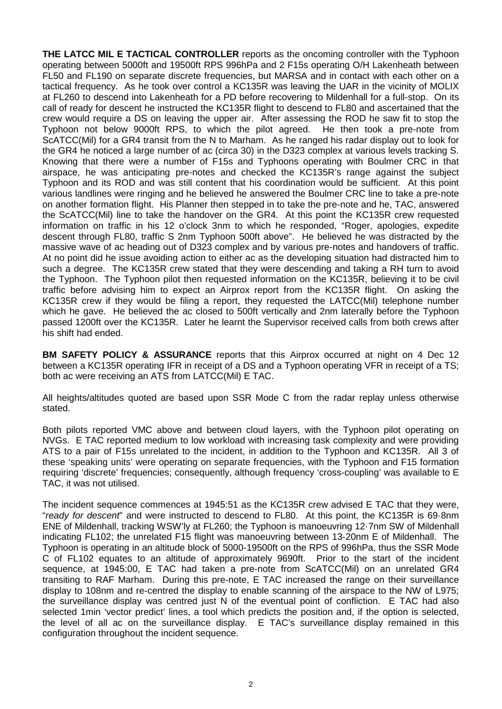**THE LATCC MIL E TACTICAL CONTROLLER** reports as the oncoming controller with the Typhoon operating between 5000ft and 19500ft RPS 996hPa and 2 F15s operating O/H Lakenheath between FL50 and FL190 on separate discrete frequencies, but MARSA and in contact with each other on a tactical frequency. As he took over control a KC135R was leaving the UAR in the vicinity of MOLIX at FL260 to descend into Lakenheath for a PD before recovering to Mildenhall for a full-stop. On its call of ready for descent he instructed the KC135R flight to descend to FL80 and ascertained that the crew would require a DS on leaving the upper air. After assessing the ROD he saw fit to stop the Typhoon not below 9000ft RPS, to which the pilot agreed. He then took a pre-note from ScATCC(Mil) for a GR4 transit from the N to Marham. As he ranged his radar display out to look for the GR4 he noticed a large number of ac (circa 30) in the D323 complex at various levels tracking S. Knowing that there were a number of F15s and Typhoons operating with Boulmer CRC in that airspace, he was anticipating pre-notes and checked the KC135R's range against the subject Typhoon and its ROD and was still content that his coordination would be sufficient. At this point various landlines were ringing and he believed he answered the Boulmer CRC line to take a pre-note on another formation flight. His Planner then stepped in to take the pre-note and he, TAC, answered the ScATCC(Mil) line to take the handover on the GR4. At this point the KC135R crew requested information on traffic in his 12 o'clock 3nm to which he responded, "Roger, apologies, expedite descent through FL80, traffic S 2nm Typhoon 500ft above". He believed he was distracted by the massive wave of ac heading out of D323 complex and by various pre-notes and handovers of traffic. At no point did he issue avoiding action to either ac as the developing situation had distracted him to such a degree. The KC135R crew stated that they were descending and taking a RH turn to avoid the Typhoon. The Typhoon pilot then requested information on the KC135R, believing it to be civil traffic before advising him to expect an Airprox report from the KC135R flight. On asking the KC135R crew if they would be filing a report, they requested the LATCC(Mil) telephone number which he gave. He believed the ac closed to 500ft vertically and 2nm laterally before the Typhoon passed 1200ft over the KC135R. Later he learnt the Supervisor received calls from both crews after his shift had ended.

**BM SAFETY POLICY & ASSURANCE** reports that this Airprox occurred at night on 4 Dec 12 between a KC135R operating IFR in receipt of a DS and a Typhoon operating VFR in receipt of a TS; both ac were receiving an ATS from LATCC(Mil) E TAC.

All heights/altitudes quoted are based upon SSR Mode C from the radar replay unless otherwise stated.

Both pilots reported VMC above and between cloud layers, with the Typhoon pilot operating on NVGs. E TAC reported medium to low workload with increasing task complexity and were providing ATS to a pair of F15s unrelated to the incident, in addition to the Typhoon and KC135R. All 3 of these 'speaking units' were operating on separate frequencies, with the Typhoon and F15 formation requiring 'discrete' frequencies; consequently, although frequency 'cross-coupling' was available to E TAC, it was not utilised.

The incident sequence commences at 1945:51 as the KC135R crew advised E TAC that they were, "*ready for descent*" and were instructed to descend to FL80. At this point, the KC135R is 69·8nm ENE of Mildenhall, tracking WSW'ly at FL260; the Typhoon is manoeuvring 12·7nm SW of Mildenhall indicating FL102; the unrelated F15 flight was manoeuvring between 13-20nm E of Mildenhall. The Typhoon is operating in an altitude block of 5000-19500ft on the RPS of 996hPa, thus the SSR Mode C of FL102 equates to an altitude of approximately 9690ft. Prior to the start of the incident sequence, at 1945:00, E TAC had taken a pre-note from ScATCC(Mil) on an unrelated GR4 transiting to RAF Marham. During this pre-note, E TAC increased the range on their surveillance display to 108nm and re-centred the display to enable scanning of the airspace to the NW of L975; the surveillance display was centred just N of the eventual point of confliction. E TAC had also selected 1min 'vector predict' lines, a tool which predicts the position and, if the option is selected, the level of all ac on the surveillance display. E TAC's surveillance display remained in this configuration throughout the incident sequence.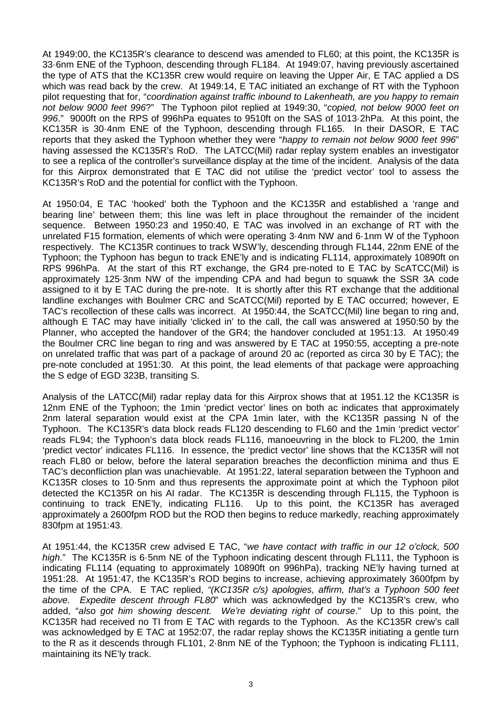At 1949:00, the KC135R's clearance to descend was amended to FL60; at this point, the KC135R is 33·6nm ENE of the Typhoon, descending through FL184. At 1949:07, having previously ascertained the type of ATS that the KC135R crew would require on leaving the Upper Air, E TAC applied a DS which was read back by the crew. At 1949:14, E TAC initiated an exchange of RT with the Typhoon pilot requesting that for, "*coordination against traffic inbound to Lakenheath, are you happy to remain not below 9000 feet 996*?" The Typhoon pilot replied at 1949:30, "*copied, not below 9000 feet on 996*." 9000ft on the RPS of 996hPa equates to 9510ft on the SAS of 1013·2hPa. At this point, the KC135R is 30·4nm ENE of the Typhoon, descending through FL165. In their DASOR, E TAC reports that they asked the Typhoon whether they were "*happy to remain not below 9000 feet 996*" having assessed the KC135R's RoD. The LATCC(Mil) radar replay system enables an investigator to see a replica of the controller's surveillance display at the time of the incident. Analysis of the data for this Airprox demonstrated that E TAC did not utilise the 'predict vector' tool to assess the KC135R's RoD and the potential for conflict with the Typhoon.

At 1950:04, E TAC 'hooked' both the Typhoon and the KC135R and established a 'range and bearing line' between them; this line was left in place throughout the remainder of the incident sequence. Between 1950:23 and 1950:40, E TAC was involved in an exchange of RT with the unrelated F15 formation, elements of which were operating 3·4nm NW and 6·1nm W of the Typhoon respectively. The KC135R continues to track WSW'ly, descending through FL144, 22nm ENE of the Typhoon; the Typhoon has begun to track ENE'ly and is indicating FL114, approximately 10890ft on RPS 996hPa. At the start of this RT exchange, the GR4 pre-noted to E TAC by ScATCC(Mil) is approximately 125·3nm NW of the impending CPA and had begun to squawk the SSR 3A code assigned to it by E TAC during the pre-note. It is shortly after this RT exchange that the additional landline exchanges with Boulmer CRC and ScATCC(Mil) reported by E TAC occurred; however, E TAC's recollection of these calls was incorrect. At 1950:44, the ScATCC(Mil) line began to ring and, although E TAC may have initially 'clicked in' to the call, the call was answered at 1950:50 by the Planner, who accepted the handover of the GR4; the handover concluded at 1951:13. At 1950:49 the Boulmer CRC line began to ring and was answered by E TAC at 1950:55, accepting a pre-note on unrelated traffic that was part of a package of around 20 ac (reported as circa 30 by E TAC); the pre-note concluded at 1951:30. At this point, the lead elements of that package were approaching the S edge of EGD 323B, transiting S.

Analysis of the LATCC(Mil) radar replay data for this Airprox shows that at 1951.12 the KC135R is 12nm ENE of the Typhoon; the 1min 'predict vector' lines on both ac indicates that approximately 2nm lateral separation would exist at the CPA 1min later, with the KC135R passing N of the Typhoon. The KC135R's data block reads FL120 descending to FL60 and the 1min 'predict vector' reads FL94; the Typhoon's data block reads FL116, manoeuvring in the block to FL200, the 1min 'predict vector' indicates FL116. In essence, the 'predict vector' line shows that the KC135R will not reach FL80 or below, before the lateral separation breaches the deconfliction minima and thus E TAC's deconfliction plan was unachievable. At 1951:22, lateral separation between the Typhoon and KC135R closes to 10·5nm and thus represents the approximate point at which the Typhoon pilot detected the KC135R on his AI radar. The KC135R is descending through FL115, the Typhoon is continuing to track ENE'ly, indicating FL116. Up to this point, the KC135R has averaged Up to this point, the KC135R has averaged approximately a 2600fpm ROD but the ROD then begins to reduce markedly, reaching approximately 830fpm at 1951:43.

At 1951:44, the KC135R crew advised E TAC, "*we have contact with traffic in our 12 o'clock, 500 high*." The KC135R is 6·5nm NE of the Typhoon indicating descent through FL111, the Typhoon is indicating FL114 (equating to approximately 10890ft on 996hPa), tracking NE'ly having turned at 1951:28. At 1951:47, the KC135R's ROD begins to increase, achieving approximately 3600fpm by the time of the CPA. E TAC replied, *"(KC135R c/s) apologies, affirm, that's a Typhoon 500 feet above. Expedite descent through FL80*" which was acknowledged by the KC135R's crew, who added, "*also got him showing descent. We're deviating right of course*." Up to this point, the KC135R had received no TI from E TAC with regards to the Typhoon. As the KC135R crew's call was acknowledged by E TAC at 1952:07, the radar replay shows the KC135R initiating a gentle turn to the R as it descends through FL101, 2·8nm NE of the Typhoon; the Typhoon is indicating FL111, maintaining its NE'ly track.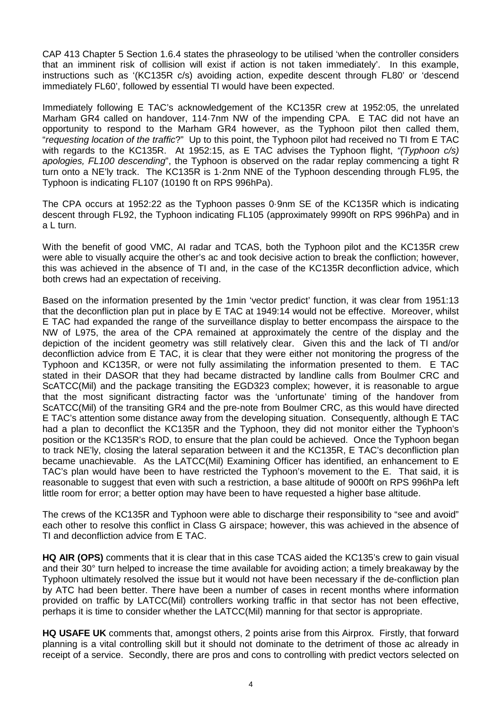CAP 413 Chapter 5 Section 1.6.4 states the phraseology to be utilised 'when the controller considers that an imminent risk of collision will exist if action is not taken immediately'. In this example, instructions such as '(KC135R c/s) avoiding action, expedite descent through FL80' or 'descend immediately FL60', followed by essential TI would have been expected.

Immediately following E TAC's acknowledgement of the KC135R crew at 1952:05, the unrelated Marham GR4 called on handover, 114·7nm NW of the impending CPA. E TAC did not have an opportunity to respond to the Marham GR4 however, as the Typhoon pilot then called them, "*requesting location of the traffic*?" Up to this point, the Typhoon pilot had received no TI from E TAC with regards to the KC135R. At 1952:15, as E TAC advises the Typhoon flight, *"(Typhoon c/s) apologies, FL100 descending*", the Typhoon is observed on the radar replay commencing a tight R turn onto a NE'ly track. The KC135R is 1·2nm NNE of the Typhoon descending through FL95, the Typhoon is indicating FL107 (10190 ft on RPS 996hPa).

The CPA occurs at 1952:22 as the Typhoon passes 0·9nm SE of the KC135R which is indicating descent through FL92, the Typhoon indicating FL105 (approximately 9990ft on RPS 996hPa) and in a L turn.

With the benefit of good VMC, AI radar and TCAS, both the Typhoon pilot and the KC135R crew were able to visually acquire the other's ac and took decisive action to break the confliction; however, this was achieved in the absence of TI and, in the case of the KC135R deconfliction advice, which both crews had an expectation of receiving.

Based on the information presented by the 1min 'vector predict' function, it was clear from 1951:13 that the deconfliction plan put in place by E TAC at 1949:14 would not be effective. Moreover, whilst E TAC had expanded the range of the surveillance display to better encompass the airspace to the NW of L975, the area of the CPA remained at approximately the centre of the display and the depiction of the incident geometry was still relatively clear. Given this and the lack of TI and/or deconfliction advice from E TAC, it is clear that they were either not monitoring the progress of the Typhoon and KC135R, or were not fully assimilating the information presented to them. E TAC stated in their DASOR that they had became distracted by landline calls from Boulmer CRC and ScATCC(Mil) and the package transiting the EGD323 complex; however, it is reasonable to argue that the most significant distracting factor was the 'unfortunate' timing of the handover from ScATCC(Mil) of the transiting GR4 and the pre-note from Boulmer CRC, as this would have directed E TAC's attention some distance away from the developing situation. Consequently, although E TAC had a plan to deconflict the KC135R and the Typhoon, they did not monitor either the Typhoon's position or the KC135R's ROD, to ensure that the plan could be achieved. Once the Typhoon began to track NE'ly, closing the lateral separation between it and the KC135R, E TAC's deconfliction plan became unachievable. As the LATCC(Mil) Examining Officer has identified, an enhancement to E TAC's plan would have been to have restricted the Typhoon's movement to the E. That said, it is reasonable to suggest that even with such a restriction, a base altitude of 9000ft on RPS 996hPa left little room for error; a better option may have been to have requested a higher base altitude.

The crews of the KC135R and Typhoon were able to discharge their responsibility to "see and avoid" each other to resolve this conflict in Class G airspace; however, this was achieved in the absence of TI and deconfliction advice from E TAC.

**HQ AIR (OPS)** comments that it is clear that in this case TCAS aided the KC135's crew to gain visual and their 30° turn helped to increase the time available for avoiding action; a timely breakaway by the Typhoon ultimately resolved the issue but it would not have been necessary if the de-confliction plan by ATC had been better. There have been a number of cases in recent months where information provided on traffic by LATCC(Mil) controllers working traffic in that sector has not been effective, perhaps it is time to consider whether the LATCC(Mil) manning for that sector is appropriate.

**HQ USAFE UK** comments that, amongst others, 2 points arise from this Airprox. Firstly, that forward planning is a vital controlling skill but it should not dominate to the detriment of those ac already in receipt of a service. Secondly, there are pros and cons to controlling with predict vectors selected on